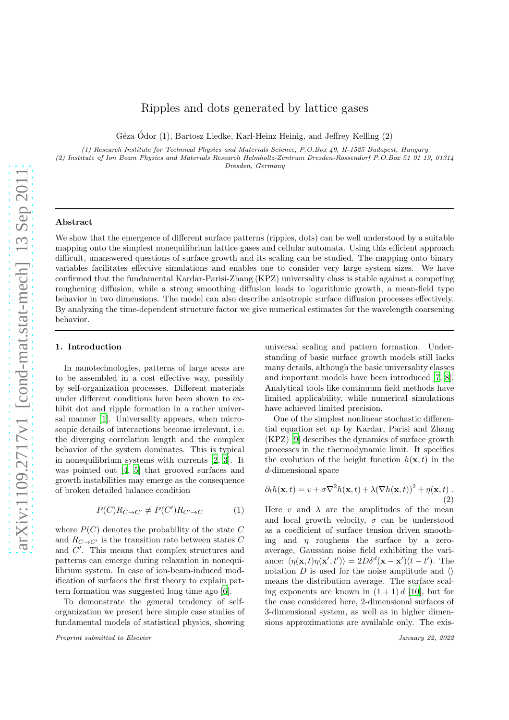# Ripples and dots generated by lattice gases

Géza Ódor (1), Bartosz Liedke, Karl-Heinz Heinig, and Jeffrey Kelling  $(2)$ 

(1) Research Institute for Technical Physics and Materials Science, P.O.Box 49, H-1525 Budapest, Hungary

(2) Institute of Ion Beam Physics and Materials Research Helmholtz-Zentrum Dresden-Rossendorf P.O.Box 51 01 19, 01314 Dresden, Germany

#### Abstract

We show that the emergence of different surface patterns (ripples, dots) can be well understood by a suitable mapping onto the simplest nonequilibrium lattice gases and cellular automata. Using this efficient approach difficult, unanswered questions of surface growth and its scaling can be studied. The mapping onto binary variables facilitates effective simulations and enables one to consider very large system sizes. We have confirmed that the fundamental Kardar-Parisi-Zhang (KPZ) universality class is stable against a competing roughening diffusion, while a strong smoothing diffusion leads to logarithmic growth, a mean-field type behavior in two dimensions. The model can also describe anisotropic surface diffusion processes effectively. By analyzing the time-dependent structure factor we give numerical estimates for the wavelength coarsening behavior.

#### 1. Introduction

In nanotechnologies, patterns of large areas are to be assembled in a cost effective way, possibly by self-organization processes. Different materials under different conditions have been shown to exhibit dot and ripple formation in a rather universal manner [\[1](#page-6-0)]. Universality appears, when microscopic details of interactions become irrelevant, i.e. the diverging correlation length and the complex behavior of the system dominates. This is typical in nonequilibrium systems with currents [\[2,](#page-6-1) [3](#page-6-2)]. It was pointed out [\[4](#page-6-3), [5\]](#page-6-4) that grooved surfaces and growth instabilities may emerge as the consequence of broken detailed balance condition

<span id="page-0-0"></span>
$$
P(C)R_{C \to C'} \neq P(C')R_{C' \to C} \tag{1}
$$

where  $P(C)$  denotes the probability of the state C and  $R_{C \rightarrow C'}$  is the transition rate between states  $C$ and  $C'$ . This means that complex structures and patterns can emerge during relaxation in nonequilibrium system. In case of ion-beam-induced modification of surfaces the first theory to explain pattern formation was suggested long time ago [\[6\]](#page-6-5).

To demonstrate the general tendency of selforganization we present here simple case studies of fundamental models of statistical physics, showing universal scaling and pattern formation. Understanding of basic surface growth models still lacks many details, although the basic universality classes and important models have been introduced [\[7](#page-6-6), [8](#page-6-7)]. Analytical tools like continuum field methods have limited applicability, while numerical simulations have achieved limited precision.

One of the simplest nonlinear stochastic differential equation set up by Kardar, Parisi and Zhang (KPZ) [\[9\]](#page-6-8) describes the dynamics of surface growth processes in the thermodynamic limit. It specifies the evolution of the height function  $h(\mathbf{x}, t)$  in the d-dimensional space

$$
\partial_t h(\mathbf{x}, t) = v + \sigma \nabla^2 h(\mathbf{x}, t) + \lambda (\nabla h(\mathbf{x}, t))^2 + \eta(\mathbf{x}, t) .
$$
\n(2)

Here  $v$  and  $\lambda$  are the amplitudes of the mean and local growth velocity,  $\sigma$  can be understood as a coefficient of surface tension driven smoothing and  $n$  roughens the surface by a zeroaverage, Gaussian noise field exhibiting the variance:  $\langle \eta(\mathbf{x}, t) \eta(\mathbf{x}', t') \rangle = 2D\delta^d(\mathbf{x} - \mathbf{x}') (t - t')$ . The notation D is used for the noise amplitude and  $\langle \rangle$ means the distribution average. The surface scaling exponents are known in  $(1 + 1) d$  [\[10](#page-6-9)], but for the case considered here, 2-dimensional surfaces of 3-dimensional system, as well as in higher dimensions approximations are available only. The exis-

Preprint submitted to Elsevier  $\qquad \qquad$  January 22, 2022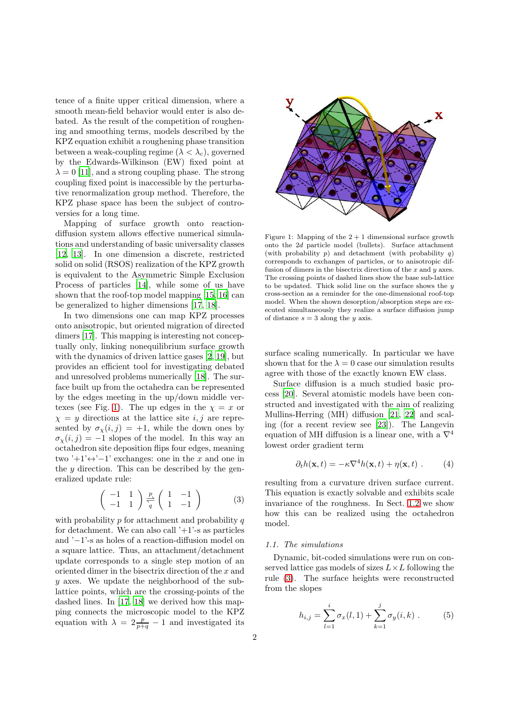tence of a finite upper critical dimension, where a smooth mean-field behavior would enter is also debated. As the result of the competition of roughening and smoothing terms, models described by the KPZ equation exhibit a roughening phase transition between a weak-coupling regime  $(\lambda < \lambda_c)$ , governed by the Edwards-Wilkinson (EW) fixed point at  $\lambda = 0$  [\[11\]](#page-6-10), and a strong coupling phase. The strong coupling fixed point is inaccessible by the perturbative renormalization group method. Therefore, the KPZ phase space has been the subject of controversies for a long time.

Mapping of surface growth onto reactiondiffusion system allows effective numerical simulations and understanding of basic universality classes [\[12](#page-6-11), [13](#page-6-12)]. In one dimension a discrete, restricted solid on solid (RSOS) realization of the KPZ growth is equivalent to the Asymmetric Simple Exclusion Process of particles [\[14\]](#page-6-13), while some of us have shown that the roof-top model mapping [\[15](#page-6-14), [16\]](#page-6-15) can be generalized to higher dimensions [\[17](#page-6-16), [18\]](#page-6-17).

In two dimensions one can map KPZ processes onto anisotropic, but oriented migration of directed dimers [\[17](#page-6-16)]. This mapping is interesting not conceptually only, linking nonequilibrium surface growth with the dynamics of driven lattice gases [\[2,](#page-6-1) [19\]](#page-6-18), but provides an efficient tool for investigating debated and unresolved problems numerically [\[18\]](#page-6-17). The surface built up from the octahedra can be represented by the edges meeting in the up/down middle ver-texes (see Fig. [1\)](#page-1-0). The up edges in the  $\chi = x$  or  $\chi = y$  directions at the lattice site i, j are represented by  $\sigma_{\chi}(i,j) = +1$ , while the down ones by  $\sigma_{\gamma}(i, j) = -1$  slopes of the model. In this way an octahedron site deposition flips four edges, meaning two '+1' $\leftrightarrow$ '−1' exchanges: one in the x and one in the  $y$  direction. This can be described by the generalized update rule:

<span id="page-1-1"></span>
$$
\left(\begin{array}{cc} -1 & 1\\ -1 & 1 \end{array}\right) \xrightarrow{\frac{p}{q}} \left(\begin{array}{cc} 1 & -1\\ 1 & -1 \end{array}\right) \tag{3}
$$

with probability  $p$  for attachment and probability  $q$ for detachment. We can also call  $+1$ '-s as particles and '−1'-s as holes of a reaction-diffusion model on a square lattice. Thus, an attachment/detachment update corresponds to a single step motion of an oriented dimer in the bisectrix direction of the x and y axes. We update the neighborhood of the sublattice points, which are the crossing-points of the dashed lines. In [\[17,](#page-6-16) [18\]](#page-6-17) we derived how this mapping connects the microscopic model to the KPZ equation with  $\lambda = 2\frac{p}{p+q} - 1$  and investigated its



<span id="page-1-0"></span>Figure 1: Mapping of the  $2 + 1$  dimensional surface growth onto the 2d particle model (bullets). Surface attachment (with probability  $p$ ) and detachment (with probability  $q$ ) corresponds to exchanges of particles, or to anisotropic diffusion of dimers in the bisectrix direction of the  $x$  and  $y$  axes. The crossing points of dashed lines show the base sub-lattice to be updated. Thick solid line on the surface shows the  $y$ cross-section as a reminder for the one-dimensional roof-top model. When the shown desorption/absorption steps are executed simultaneously they realize a surface diffusion jump of distance  $s = 3$  along the y axis.

surface scaling numerically. In particular we have shown that for the  $\lambda = 0$  case our simulation results agree with those of the exactly known EW class.

Surface diffusion is a much studied basic process [\[20\]](#page-6-19). Several atomistic models have been constructed and investigated with the aim of realizing Mullins-Herring (MH) diffusion [\[21](#page-6-20), [22](#page-6-21)] and scaling (for a recent review see [\[23\]](#page-6-22)). The Langevin equation of MH diffusion is a linear one, with a  $\nabla^4$ lowest order gradient term

<span id="page-1-2"></span>
$$
\partial_t h(\mathbf{x}, t) = -\kappa \nabla^4 h(\mathbf{x}, t) + \eta(\mathbf{x}, t) . \tag{4}
$$

resulting from a curvature driven surface current. This equation is exactly solvable and exhibits scale invariance of the roughness. In Sect. [1.2](#page-2-0) we show how this can be realized using the octahedron model.

#### 1.1. The simulations

Dynamic, bit-coded simulations were run on conserved lattice gas models of sizes  $L \times L$  following the rule [\(3\)](#page-1-1). The surface heights were reconstructed from the slopes

$$
h_{i,j} = \sum_{l=1}^{i} \sigma_x(l, 1) + \sum_{k=1}^{j} \sigma_y(i, k) . \tag{5}
$$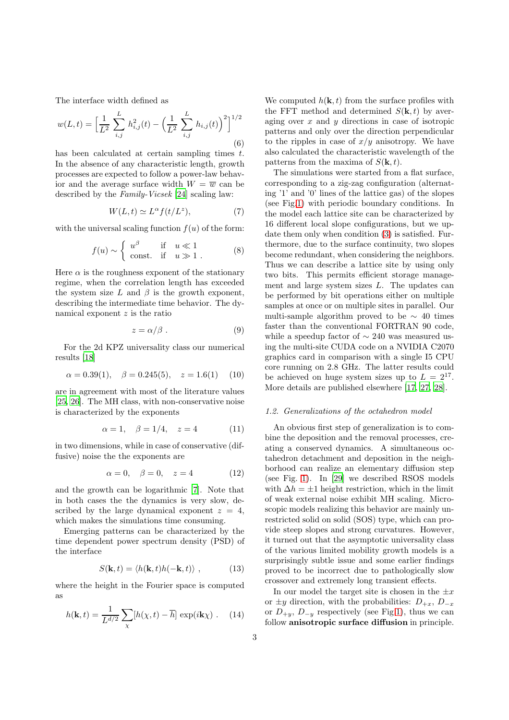The interface width defined as

$$
w(L,t) = \left[\frac{1}{L^2} \sum_{i,j}^{L} h_{i,j}^2(t) - \left(\frac{1}{L^2} \sum_{i,j}^{L} h_{i,j}(t)\right)^2\right]^{1/2}
$$
\n(6)

has been calculated at certain sampling times  $t$ . In the absence of any characteristic length, growth processes are expected to follow a power-law behavior and the average surface width  $W = \overline{w}$  can be described by the Family-Vicsek [\[24\]](#page-6-23) scaling law:

$$
W(L, t) \simeq L^{\alpha} f(t/L^{z}), \qquad (7)
$$

with the universal scaling function  $f(u)$  of the form:

$$
f(u) \sim \begin{cases} u^{\beta} & \text{if } u \ll 1 \\ \text{const.} & \text{if } u \gg 1. \end{cases}
$$
 (8)

Here  $\alpha$  is the roughness exponent of the stationary regime, when the correlation length has exceeded the system size L and  $\beta$  is the growth exponent, describing the intermediate time behavior. The dynamical exponent  $z$  is the ratio

$$
z = \alpha/\beta \tag{9}
$$

For the 2d KPZ universality class our numerical results [\[18\]](#page-6-17)

$$
\alpha = 0.39(1), \quad \beta = 0.245(5), \quad z = 1.6(1) \quad (10)
$$

are in agreement with most of the literature values [\[25](#page-6-24), [26\]](#page-6-25). The MH class, with non-conservative noise is characterized by the exponents

<span id="page-2-2"></span>
$$
\alpha = 1, \quad \beta = 1/4, \quad z = 4
$$
 (11)

in two dimensions, while in case of conservative (diffusive) noise the the exponents are

<span id="page-2-1"></span>
$$
\alpha = 0, \quad \beta = 0, \quad z = 4 \tag{12}
$$

and the growth can be logarithmic [\[7\]](#page-6-6). Note that in both cases the the dynamics is very slow, described by the large dynamical exponent  $z = 4$ , which makes the simulations time consuming.

Emerging patterns can be characterized by the time dependent power spectrum density (PSD) of the interface

$$
S(\mathbf{k},t) = \langle h(\mathbf{k},t)h(-\mathbf{k},t) \rangle , \qquad (13)
$$

where the height in the Fourier space is computed as

$$
h(\mathbf{k},t) = \frac{1}{L^{d/2}} \sum_{\chi} [h(\chi,t) - \overline{h}] \exp(i\mathbf{k}\chi) . \quad (14)
$$

We computed  $h(\mathbf{k}, t)$  from the surface profiles with the FFT method and determined  $S(\mathbf{k}, t)$  by averaging over  $x$  and  $y$  directions in case of isotropic patterns and only over the direction perpendicular to the ripples in case of  $x/y$  anisotropy. We have also calculated the characteristic wavelength of the patterns from the maxima of  $S(\mathbf{k}, t)$ .

The simulations were started from a flat surface, corresponding to a zig-zag configuration (alternating '1' and '0' lines of the lattice gas) of the slopes (see Fig[.1\)](#page-1-0) with periodic boundary conditions. In the model each lattice site can be characterized by 16 different local slope configurations, but we update them only when condition [\(3\)](#page-1-1) is satisfied. Furthermore, due to the surface continuity, two slopes become redundant, when considering the neighbors. Thus we can describe a lattice site by using only two bits. This permits efficient storage management and large system sizes  $L$ . The updates can be performed by bit operations either on multiple samples at once or on multiple sites in parallel. Our multi-sample algorithm proved to be  $\sim$  40 times faster than the conventional FORTRAN 90 code, while a speedup factor of  $\sim$  240 was measured using the multi-site CUDA code on a NVIDIA C2070 graphics card in comparison with a single I5 CPU core running on 2.8 GHz. The latter results could be achieved on huge system sizes up to  $L = 2^{17}$ . More details are published elsewhere [\[17,](#page-6-16) [27,](#page-6-26) [28\]](#page-6-27).

#### <span id="page-2-0"></span>1.2. Generalizations of the octahedron model

An obvious first step of generalization is to combine the deposition and the removal processes, creating a conserved dynamics. A simultaneous octahedron detachment and deposition in the neighborhood can realize an elementary diffusion step (see Fig. [1\)](#page-1-0). In [\[29](#page-6-28)] we described RSOS models with  $\Delta h = \pm 1$  height restriction, which in the limit of weak external noise exhibit MH scaling. Microscopic models realizing this behavior are mainly unrestricted solid on solid (SOS) type, which can provide steep slopes and strong curvatures. However, it turned out that the asymptotic universality class of the various limited mobility growth models is a surprisingly subtle issue and some earlier findings proved to be incorrect due to pathologically slow crossover and extremely long transient effects.

In our model the target site is chosen in the  $\pm x$ or  $\pm y$  direction, with the probabilities:  $D_{+x}$ ,  $D_{-x}$ or  $D_{+y}$ ,  $D_{-y}$  respectively (see Fig[.1\)](#page-1-0), thus we can follow anisotropic surface diffusion in principle.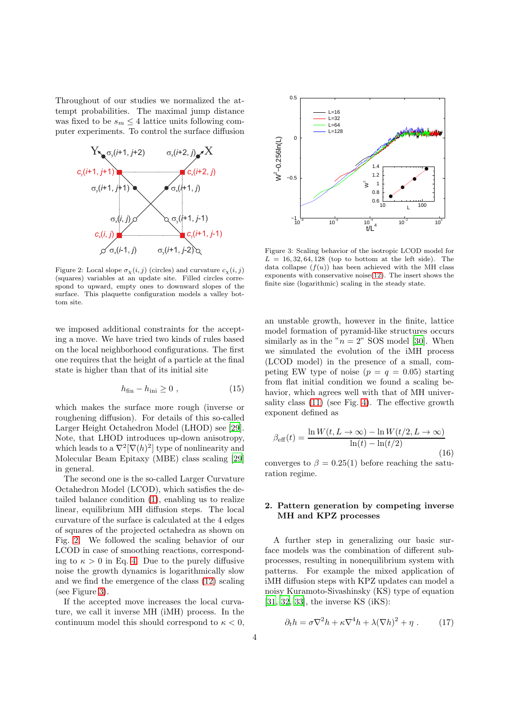Throughout of our studies we normalized the attempt probabilities. The maximal jump distance was fixed to be  $s_m \leq 4$  lattice units following computer experiments. To control the surface diffusion



<span id="page-3-0"></span>Figure 2: Local slope  $\sigma_{\chi}(i, j)$  (circles) and curvature  $c_{\chi}(i, j)$ (squares) variables at an update site. Filled circles correspond to upward, empty ones to downward slopes of the surface. This plaquette configuration models a valley bottom site.

we imposed additional constraints for the accepting a move. We have tried two kinds of rules based on the local neighborhood configurations. The first one requires that the height of a particle at the final state is higher than that of its initial site

$$
h_{fin} - h_{ini} \ge 0 , \qquad (15)
$$

which makes the surface more rough (inverse or roughening diffusion). For details of this so-called Larger Height Octahedron Model (LHOD) see [\[29](#page-6-28)]. Note, that LHOD introduces up-down anisotropy, which leads to a  $\nabla^2[\nabla(h)^2]$  type of nonlinearity and Molecular Beam Epitaxy (MBE) class scaling [\[29\]](#page-6-28) in general.

The second one is the so-called Larger Curvature Octahedron Model (LCOD), which satisfies the detailed balance condition [\(1\)](#page-0-0), enabling us to realize linear, equilibrium MH diffusion steps. The local curvature of the surface is calculated at the 4 edges of squares of the projected octahedra as shown on Fig. [2.](#page-3-0) We followed the scaling behavior of our LCOD in case of smoothing reactions, corresponding to  $\kappa > 0$  in Eq. [4.](#page-1-2) Due to the purely diffusive noise the growth dynamics is logarithmically slow and we find the emergence of the class [\(12\)](#page-2-1) scaling (see Figure [3\)](#page-3-1).

If the accepted move increases the local curvature, we call it inverse MH (iMH) process. In the continuum model this should correspond to  $\kappa < 0$ ,



<span id="page-3-1"></span>Figure 3: Scaling behavior of the isotropic LCOD model for  $L = 16, 32, 64, 128$  (top to bottom at the left side). The data collapse  $(f(u))$  has been achieved with the MH class exponents with conservative noise[\(12\)](#page-2-1). The insert shows the finite size (logarithmic) scaling in the steady state.

an unstable growth, however in the finite, lattice model formation of pyramid-like structures occurs similarly as in the " $n = 2$ " SOS model [\[30\]](#page-6-29). When we simulated the evolution of the iMH process (LCOD model) in the presence of a small, competing EW type of noise  $(p = q = 0.05)$  starting from flat initial condition we found a scaling behavior, which agrees well with that of MH universality class [\(11\)](#page-2-2) (see Fig. [4\)](#page-4-0). The effective growth exponent defined as

<span id="page-3-2"></span>
$$
\beta_{\text{eff}}(t) = \frac{\ln W(t, L \to \infty) - \ln W(t/2, L \to \infty)}{\ln(t) - \ln(t/2)}
$$
(16)

converges to  $\beta = 0.25(1)$  before reaching the saturation regime.

# 2. Pattern generation by competing inverse MH and KPZ processes

A further step in generalizing our basic surface models was the combination of different subprocesses, resulting in nonequilibrium system with patterns. For example the mixed application of iMH diffusion steps with KPZ updates can model a noisy Kuramoto-Sivashinsky (KS) type of equation [\[31](#page-6-30), [32,](#page-6-31) [33\]](#page-6-32), the inverse KS (iKS):

<span id="page-3-3"></span>
$$
\partial_t h = \sigma \nabla^2 h + \kappa \nabla^4 h + \lambda (\nabla h)^2 + \eta . \tag{17}
$$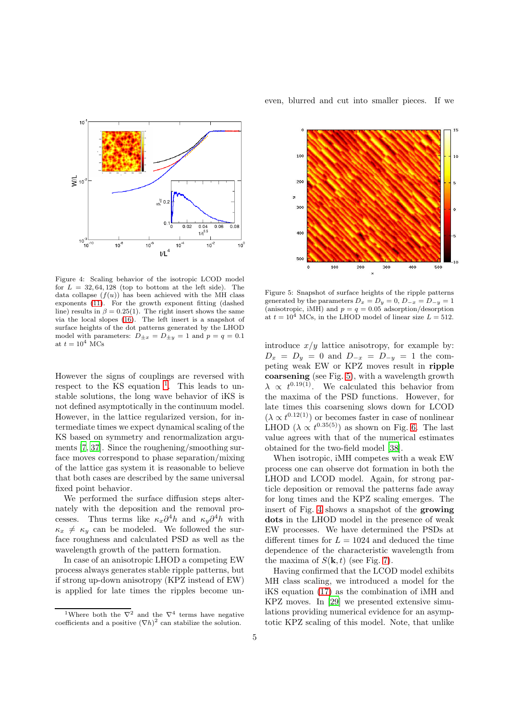

<span id="page-4-0"></span>Figure 4: Scaling behavior of the isotropic LCOD model for  $L = 32, 64, 128$  (top to bottom at the left side). The data collapse  $(f(u))$  has been achieved with the MH class exponents [\(11\)](#page-2-2). For the growth exponent fitting (dashed line) results in  $\beta = 0.25(1)$ . The right insert shows the same via the local slopes [\(16\)](#page-3-2). The left insert is a snapshot of surface heights of the dot patterns generated by the LHOD model with parameters:  $D_{\pm x} = D_{\pm y} = 1$  and  $p = q = 0.1$ at  $t = 10^4$  MCs

However the signs of couplings are reversed with respect to the KS equation <sup>[1](#page-4-1)</sup>. This leads to unstable solutions, the long wave behavior of iKS is not defined asymptotically in the continuum model. However, in the lattice regularized version, for intermediate times we expect dynamical scaling of the KS based on symmetry and renormalization arguments [\[7,](#page-6-6) [37](#page-6-33)]. Since the roughening/smoothing surface moves correspond to phase separation/mixing of the lattice gas system it is reasonable to believe that both cases are described by the same universal fixed point behavior.

We performed the surface diffusion steps alternately with the deposition and the removal processes. Thus terms like  $\kappa_x \partial^4 h$  and  $\kappa_y \partial^4 h$  with  $\kappa_x \neq \kappa_y$  can be modeled. We followed the surface roughness and calculated PSD as well as the wavelength growth of the pattern formation.

In case of an anisotropic LHOD a competing EW process always generates stable ripple patterns, but if strong up-down anisotropy (KPZ instead of EW) is applied for late times the ripples become uneven, blurred and cut into smaller pieces. If we



<span id="page-4-2"></span>Figure 5: Snapshot of surface heights of the ripple patterns generated by the parameters  $D_x = D_y = 0$ ,  $D_{-x} = D_{-y} = 1$ (anisotropic, iMH) and  $p = q = 0.05$  adsorption/desorption at  $t = 10^4$  MCs, in the LHOD model of linear size  $L = 512$ .

introduce  $x/y$  lattice anisotropy, for example by:  $D_x = D_y = 0$  and  $D_{-x} = D_{-y} = 1$  the competing weak EW or KPZ moves result in ripple coarsening (see Fig. [5\)](#page-4-2), with a wavelength growth  $\lambda \propto t^{0.19(1)}$ . We calculated this behavior from the maxima of the PSD functions. However, for late times this coarsening slows down for LCOD  $(\lambda \propto t^{0.12(1)})$  or becomes faster in case of nonlinear LHOD  $(\lambda \propto t^{0.35(5)})$  as shown on Fig. [6.](#page-5-0) The last value agrees with that of the numerical estimates obtained for the two-field model [\[38\]](#page-6-34).

When isotropic, iMH competes with a weak EW process one can observe dot formation in both the LHOD and LCOD model. Again, for strong particle deposition or removal the patterns fade away for long times and the KPZ scaling emerges. The insert of Fig. [4](#page-4-0) shows a snapshot of the growing dots in the LHOD model in the presence of weak EW processes. We have determined the PSDs at different times for  $L = 1024$  and deduced the time dependence of the characteristic wavelength from the maxima of  $S(\mathbf{k}, t)$  (see Fig. [7\)](#page-5-1).

Having confirmed that the LCOD model exhibits MH class scaling, we introduced a model for the iKS equation [\(17\)](#page-3-3) as the combination of iMH and KPZ moves. In [\[29\]](#page-6-28) we presented extensive simulations providing numerical evidence for an asymptotic KPZ scaling of this model. Note, that unlike

<span id="page-4-1"></span><sup>&</sup>lt;sup>1</sup>Where both the  $\nabla^2$  and the  $\nabla^4$  terms have negative coefficients and a positive  $(\nabla h)^2$  can stabilize the solution.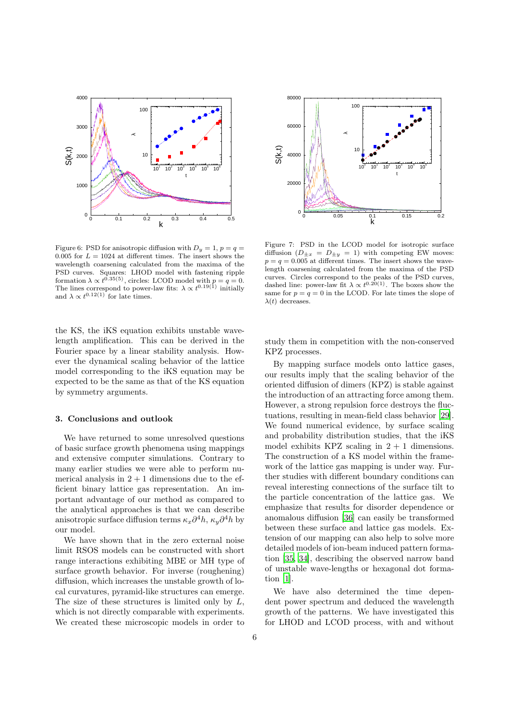

<span id="page-5-0"></span>Figure 6: PSD for anisotropic diffusion with  $D_y = 1$ ,  $p = q =$ 0.005 for  $L = 1024$  at different times. The insert shows the wavelength coarsening calculated from the maxima of the PSD curves. Squares: LHOD model with fastening ripple formation  $\lambda \propto t^{0.35(5)}$ , circles: LCOD model with  $p = q = 0$ . The lines correspond to power-law fits:  $\lambda \propto t^{0.19(1)}$  initially and  $\lambda \propto t^{0.12(1)}$  for late times.

the KS, the iKS equation exhibits unstable wavelength amplification. This can be derived in the Fourier space by a linear stability analysis. However the dynamical scaling behavior of the lattice model corresponding to the iKS equation may be expected to be the same as that of the KS equation by symmetry arguments.

## 3. Conclusions and outlook

We have returned to some unresolved questions of basic surface growth phenomena using mappings and extensive computer simulations. Contrary to many earlier studies we were able to perform numerical analysis in  $2 + 1$  dimensions due to the efficient binary lattice gas representation. An important advantage of our method as compared to the analytical approaches is that we can describe anisotropic surface diffusion terms  $\kappa_x \partial^4 h$ ,  $\kappa_y \partial^4 h$  by our model.

We have shown that in the zero external noise limit RSOS models can be constructed with short range interactions exhibiting MBE or MH type of surface growth behavior. For inverse (roughening) diffusion, which increases the unstable growth of local curvatures, pyramid-like structures can emerge. The size of these structures is limited only by  $L$ , which is not directly comparable with experiments. We created these microscopic models in order to



<span id="page-5-1"></span>Figure 7: PSD in the LCOD model for isotropic surface diffusion  $(D_{\pm x} = D_{\pm y} = 1)$  with competing EW moves:  $p = q = 0.005$  at different times. The insert shows the wavelength coarsening calculated from the maxima of the PSD curves. Circles correspond to the peaks of the PSD curves, dashed line: power-law fit  $\lambda \propto t^{0.20(1)}$ . The boxes show the same for  $p = q = 0$  in the LCOD. For late times the slope of  $\lambda(t)$  decreases.

study them in competition with the non-conserved KPZ processes.

By mapping surface models onto lattice gases, our results imply that the scaling behavior of the oriented diffusion of dimers (KPZ) is stable against the introduction of an attracting force among them. However, a strong repulsion force destroys the fluctuations, resulting in mean-field class behavior [\[29](#page-6-28)]. We found numerical evidence, by surface scaling and probability distribution studies, that the iKS model exhibits KPZ scaling in  $2 + 1$  dimensions. The construction of a KS model within the framework of the lattice gas mapping is under way. Further studies with different boundary conditions can reveal interesting connections of the surface tilt to the particle concentration of the lattice gas. We emphasize that results for disorder dependence or anomalous diffusion [\[36](#page-6-35)] can easily be transformed between these surface and lattice gas models. Extension of our mapping can also help to solve more detailed models of ion-beam induced pattern formation [\[35](#page-6-36), [34\]](#page-6-37), describing the observed narrow band of unstable wave-lengths or hexagonal dot formation [\[1\]](#page-6-0).

We have also determined the time dependent power spectrum and deduced the wavelength growth of the patterns. We have investigated this for LHOD and LCOD process, with and without